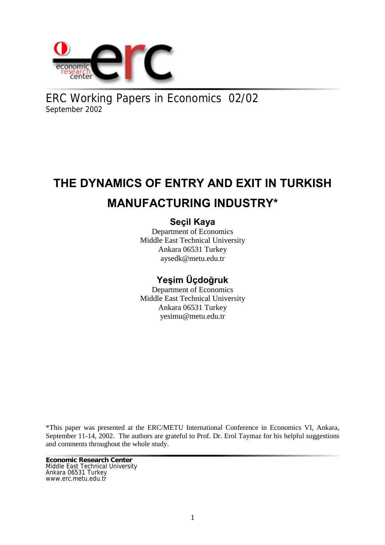

ERC Working Papers in Economics 02/02 September 2002

# **THE DYNAMICS OF ENTRY AND EXIT IN TURKISH MANUFACTURING INDUSTRY\***

# **Seçil Kaya**

Department of Economics Middle East Technical University Ankara 06531 Turkey aysedk@metu.edu.tr

# **Yeşim Üçdoğruk**

Department of Economics Middle East Technical University Ankara 06531 Turkey yesimu@metu.edu.tr

\*This paper was presented at the ERC/METU International Conference in Economics VI, Ankara, September 11-14, 2002. The authors are grateful to Prof. Dr. Erol Taymaz for his helpful suggestions and comments throughout the whole study.

**Economic Research Center** Middle East Technical University Ankara 06531 Turkey www.erc.metu.edu.tr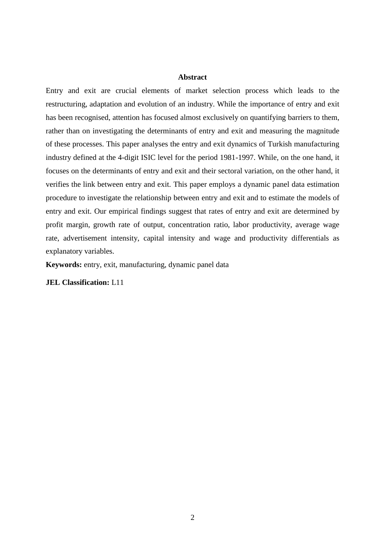### **Abstract**

Entry and exit are crucial elements of market selection process which leads to the restructuring, adaptation and evolution of an industry. While the importance of entry and exit has been recognised, attention has focused almost exclusively on quantifying barriers to them, rather than on investigating the determinants of entry and exit and measuring the magnitude of these processes. This paper analyses the entry and exit dynamics of Turkish manufacturing industry defined at the 4-digit ISIC level for the period 1981-1997. While, on the one hand, it focuses on the determinants of entry and exit and their sectoral variation, on the other hand, it verifies the link between entry and exit. This paper employs a dynamic panel data estimation procedure to investigate the relationship between entry and exit and to estimate the models of entry and exit. Our empirical findings suggest that rates of entry and exit are determined by profit margin, growth rate of output, concentration ratio, labor productivity, average wage rate, advertisement intensity, capital intensity and wage and productivity differentials as explanatory variables.

**Keywords:** entry, exit, manufacturing, dynamic panel data

**JEL Classification:** L11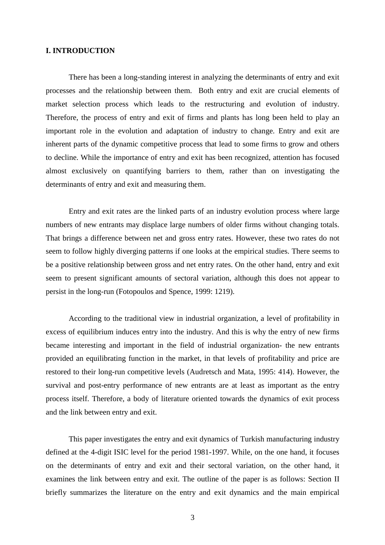# **I. INTRODUCTION**

There has been a long-standing interest in analyzing the determinants of entry and exit processes and the relationship between them. Both entry and exit are crucial elements of market selection process which leads to the restructuring and evolution of industry. Therefore, the process of entry and exit of firms and plants has long been held to play an important role in the evolution and adaptation of industry to change. Entry and exit are inherent parts of the dynamic competitive process that lead to some firms to grow and others to decline. While the importance of entry and exit has been recognized, attention has focused almost exclusively on quantifying barriers to them, rather than on investigating the determinants of entry and exit and measuring them.

Entry and exit rates are the linked parts of an industry evolution process where large numbers of new entrants may displace large numbers of older firms without changing totals. That brings a difference between net and gross entry rates. However, these two rates do not seem to follow highly diverging patterns if one looks at the empirical studies. There seems to be a positive relationship between gross and net entry rates. On the other hand, entry and exit seem to present significant amounts of sectoral variation, although this does not appear to persist in the long-run (Fotopoulos and Spence, 1999: 1219).

According to the traditional view in industrial organization, a level of profitability in excess of equilibrium induces entry into the industry. And this is why the entry of new firms became interesting and important in the field of industrial organization- the new entrants provided an equilibrating function in the market, in that levels of profitability and price are restored to their long-run competitive levels (Audretsch and Mata, 1995: 414). However, the survival and post-entry performance of new entrants are at least as important as the entry process itself. Therefore, a body of literature oriented towards the dynamics of exit process and the link between entry and exit.

This paper investigates the entry and exit dynamics of Turkish manufacturing industry defined at the 4-digit ISIC level for the period 1981-1997. While, on the one hand, it focuses on the determinants of entry and exit and their sectoral variation, on the other hand, it examines the link between entry and exit. The outline of the paper is as follows: Section II briefly summarizes the literature on the entry and exit dynamics and the main empirical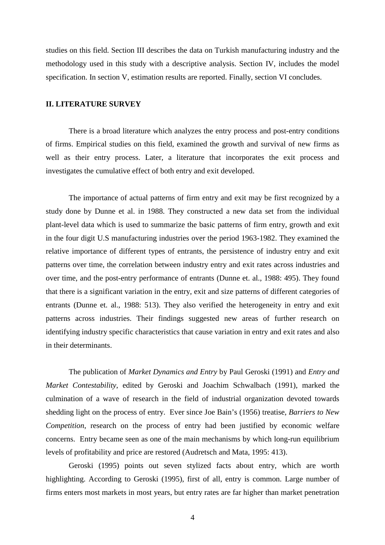studies on this field. Section III describes the data on Turkish manufacturing industry and the methodology used in this study with a descriptive analysis. Section IV, includes the model specification. In section V, estimation results are reported. Finally, section VI concludes.

# **II. LITERATURE SURVEY**

There is a broad literature which analyzes the entry process and post-entry conditions of firms. Empirical studies on this field, examined the growth and survival of new firms as well as their entry process. Later, a literature that incorporates the exit process and investigates the cumulative effect of both entry and exit developed.

The importance of actual patterns of firm entry and exit may be first recognized by a study done by Dunne et al. in 1988. They constructed a new data set from the individual plant-level data which is used to summarize the basic patterns of firm entry, growth and exit in the four digit U.S manufacturing industries over the period 1963-1982. They examined the relative importance of different types of entrants, the persistence of industry entry and exit patterns over time, the correlation between industry entry and exit rates across industries and over time, and the post-entry performance of entrants (Dunne et. al., 1988: 495). They found that there is a significant variation in the entry, exit and size patterns of different categories of entrants (Dunne et. al., 1988: 513). They also verified the heterogeneity in entry and exit patterns across industries. Their findings suggested new areas of further research on identifying industry specific characteristics that cause variation in entry and exit rates and also in their determinants.

The publication of *Market Dynamics and Entry* by Paul Geroski (1991) and *Entry and Market Contestability*, edited by Geroski and Joachim Schwalbach (1991), marked the culmination of a wave of research in the field of industrial organization devoted towards shedding light on the process of entry. Ever since Joe Bain's (1956) treatise, *Barriers to New Competition*, research on the process of entry had been justified by economic welfare concerns. Entry became seen as one of the main mechanisms by which long-run equilibrium levels of profitability and price are restored (Audretsch and Mata, 1995: 413).

Geroski (1995) points out seven stylized facts about entry, which are worth highlighting. According to Geroski (1995), first of all, entry is common. Large number of firms enters most markets in most years, but entry rates are far higher than market penetration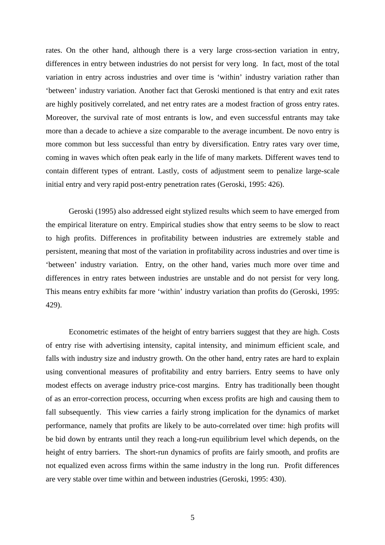rates. On the other hand, although there is a very large cross-section variation in entry, differences in entry between industries do not persist for very long. In fact, most of the total variation in entry across industries and over time is 'within' industry variation rather than 'between' industry variation. Another fact that Geroski mentioned is that entry and exit rates are highly positively correlated, and net entry rates are a modest fraction of gross entry rates. Moreover, the survival rate of most entrants is low, and even successful entrants may take more than a decade to achieve a size comparable to the average incumbent. De novo entry is more common but less successful than entry by diversification. Entry rates vary over time, coming in waves which often peak early in the life of many markets. Different waves tend to contain different types of entrant. Lastly, costs of adjustment seem to penalize large-scale initial entry and very rapid post-entry penetration rates (Geroski, 1995: 426).

Geroski (1995) also addressed eight stylized results which seem to have emerged from the empirical literature on entry. Empirical studies show that entry seems to be slow to react to high profits. Differences in profitability between industries are extremely stable and persistent, meaning that most of the variation in profitability across industries and over time is 'between' industry variation. Entry, on the other hand, varies much more over time and differences in entry rates between industries are unstable and do not persist for very long. This means entry exhibits far more 'within' industry variation than profits do (Geroski, 1995: 429).

Econometric estimates of the height of entry barriers suggest that they are high. Costs of entry rise with advertising intensity, capital intensity, and minimum efficient scale, and falls with industry size and industry growth. On the other hand, entry rates are hard to explain using conventional measures of profitability and entry barriers. Entry seems to have only modest effects on average industry price-cost margins. Entry has traditionally been thought of as an error-correction process, occurring when excess profits are high and causing them to fall subsequently. This view carries a fairly strong implication for the dynamics of market performance, namely that profits are likely to be auto-correlated over time: high profits will be bid down by entrants until they reach a long-run equilibrium level which depends, on the height of entry barriers. The short-run dynamics of profits are fairly smooth, and profits are not equalized even across firms within the same industry in the long run. Profit differences are very stable over time within and between industries (Geroski, 1995: 430).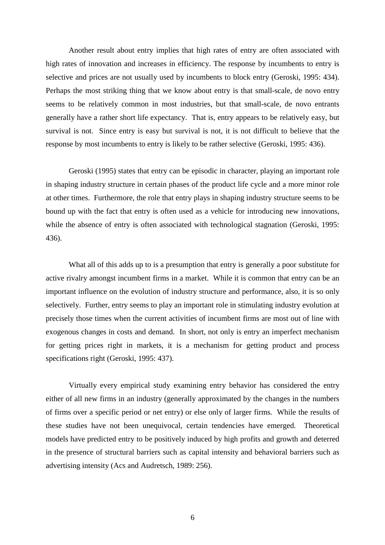Another result about entry implies that high rates of entry are often associated with high rates of innovation and increases in efficiency. The response by incumbents to entry is selective and prices are not usually used by incumbents to block entry (Geroski, 1995: 434). Perhaps the most striking thing that we know about entry is that small-scale, de novo entry seems to be relatively common in most industries, but that small-scale, de novo entrants generally have a rather short life expectancy. That is, entry appears to be relatively easy, but survival is not. Since entry is easy but survival is not, it is not difficult to believe that the response by most incumbents to entry is likely to be rather selective (Geroski, 1995: 436).

Geroski (1995) states that entry can be episodic in character, playing an important role in shaping industry structure in certain phases of the product life cycle and a more minor role at other times. Furthermore, the role that entry plays in shaping industry structure seems to be bound up with the fact that entry is often used as a vehicle for introducing new innovations, while the absence of entry is often associated with technological stagnation (Geroski, 1995: 436).

What all of this adds up to is a presumption that entry is generally a poor substitute for active rivalry amongst incumbent firms in a market. While it is common that entry can be an important influence on the evolution of industry structure and performance, also, it is so only selectively. Further, entry seems to play an important role in stimulating industry evolution at precisely those times when the current activities of incumbent firms are most out of line with exogenous changes in costs and demand. In short, not only is entry an imperfect mechanism for getting prices right in markets, it is a mechanism for getting product and process specifications right (Geroski, 1995: 437).

Virtually every empirical study examining entry behavior has considered the entry either of all new firms in an industry (generally approximated by the changes in the numbers of firms over a specific period or net entry) or else only of larger firms. While the results of these studies have not been unequivocal, certain tendencies have emerged. Theoretical models have predicted entry to be positively induced by high profits and growth and deterred in the presence of structural barriers such as capital intensity and behavioral barriers such as advertising intensity (Acs and Audretsch, 1989: 256).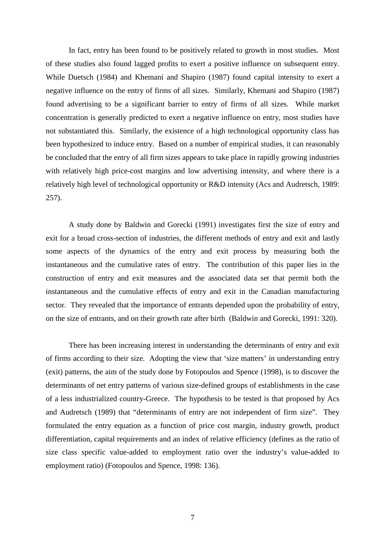In fact, entry has been found to be positively related to growth in most studies. Most of these studies also found lagged profits to exert a positive influence on subsequent entry. While Duetsch (1984) and Khemani and Shapiro (1987) found capital intensity to exert a negative influence on the entry of firms of all sizes. Similarly, Khemani and Shapiro (1987) found advertising to be a significant barrier to entry of firms of all sizes. While market concentration is generally predicted to exert a negative influence on entry, most studies have not substantiated this. Similarly, the existence of a high technological opportunity class has been hypothesized to induce entry. Based on a number of empirical studies, it can reasonably be concluded that the entry of all firm sizes appears to take place in rapidly growing industries with relatively high price-cost margins and low advertising intensity, and where there is a relatively high level of technological opportunity or R&D intensity (Acs and Audretsch, 1989: 257).

A study done by Baldwin and Gorecki (1991) investigates first the size of entry and exit for a broad cross-section of industries, the different methods of entry and exit and lastly some aspects of the dynamics of the entry and exit process by measuring both the instantaneous and the cumulative rates of entry. The contribution of this paper lies in the construction of entry and exit measures and the associated data set that permit both the instantaneous and the cumulative effects of entry and exit in the Canadian manufacturing sector. They revealed that the importance of entrants depended upon the probability of entry, on the size of entrants, and on their growth rate after birth (Baldwin and Gorecki, 1991: 320).

There has been increasing interest in understanding the determinants of entry and exit of firms according to their size. Adopting the view that 'size matters' in understanding entry (exit) patterns, the aim of the study done by Fotopoulos and Spence (1998), is to discover the determinants of net entry patterns of various size-defined groups of establishments in the case of a less industrialized country-Greece. The hypothesis to be tested is that proposed by Acs and Audretsch (1989) that "determinants of entry are not independent of firm size". They formulated the entry equation as a function of price cost margin, industry growth, product differentiation, capital requirements and an index of relative efficiency (defines as the ratio of size class specific value-added to employment ratio over the industry's value-added to employment ratio) (Fotopoulos and Spence, 1998: 136).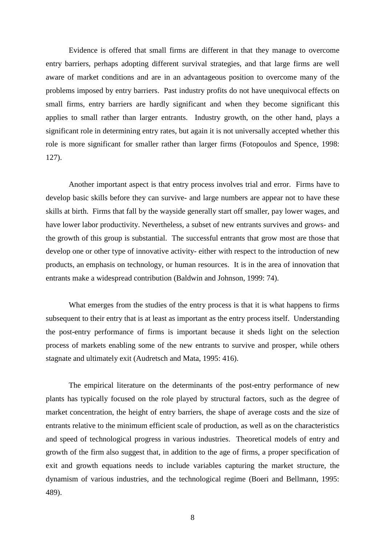Evidence is offered that small firms are different in that they manage to overcome entry barriers, perhaps adopting different survival strategies, and that large firms are well aware of market conditions and are in an advantageous position to overcome many of the problems imposed by entry barriers. Past industry profits do not have unequivocal effects on small firms, entry barriers are hardly significant and when they become significant this applies to small rather than larger entrants. Industry growth, on the other hand, plays a significant role in determining entry rates, but again it is not universally accepted whether this role is more significant for smaller rather than larger firms (Fotopoulos and Spence, 1998: 127).

Another important aspect is that entry process involves trial and error. Firms have to develop basic skills before they can survive- and large numbers are appear not to have these skills at birth. Firms that fall by the wayside generally start off smaller, pay lower wages, and have lower labor productivity. Nevertheless, a subset of new entrants survives and grows- and the growth of this group is substantial. The successful entrants that grow most are those that develop one or other type of innovative activity- either with respect to the introduction of new products, an emphasis on technology, or human resources. It is in the area of innovation that entrants make a widespread contribution (Baldwin and Johnson, 1999: 74).

What emerges from the studies of the entry process is that it is what happens to firms subsequent to their entry that is at least as important as the entry process itself. Understanding the post-entry performance of firms is important because it sheds light on the selection process of markets enabling some of the new entrants to survive and prosper, while others stagnate and ultimately exit (Audretsch and Mata, 1995: 416).

The empirical literature on the determinants of the post-entry performance of new plants has typically focused on the role played by structural factors, such as the degree of market concentration, the height of entry barriers, the shape of average costs and the size of entrants relative to the minimum efficient scale of production, as well as on the characteristics and speed of technological progress in various industries. Theoretical models of entry and growth of the firm also suggest that, in addition to the age of firms, a proper specification of exit and growth equations needs to include variables capturing the market structure, the dynamism of various industries, and the technological regime (Boeri and Bellmann, 1995: 489).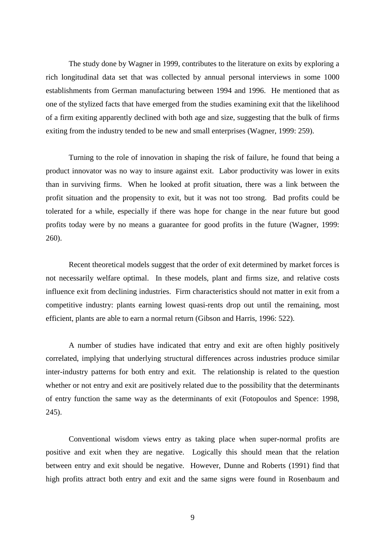The study done by Wagner in 1999, contributes to the literature on exits by exploring a rich longitudinal data set that was collected by annual personal interviews in some 1000 establishments from German manufacturing between 1994 and 1996. He mentioned that as one of the stylized facts that have emerged from the studies examining exit that the likelihood of a firm exiting apparently declined with both age and size, suggesting that the bulk of firms exiting from the industry tended to be new and small enterprises (Wagner, 1999: 259).

Turning to the role of innovation in shaping the risk of failure, he found that being a product innovator was no way to insure against exit. Labor productivity was lower in exits than in surviving firms. When he looked at profit situation, there was a link between the profit situation and the propensity to exit, but it was not too strong. Bad profits could be tolerated for a while, especially if there was hope for change in the near future but good profits today were by no means a guarantee for good profits in the future (Wagner, 1999: 260).

Recent theoretical models suggest that the order of exit determined by market forces is not necessarily welfare optimal. In these models, plant and firms size, and relative costs influence exit from declining industries. Firm characteristics should not matter in exit from a competitive industry: plants earning lowest quasi-rents drop out until the remaining, most efficient, plants are able to earn a normal return (Gibson and Harris, 1996: 522).

A number of studies have indicated that entry and exit are often highly positively correlated, implying that underlying structural differences across industries produce similar inter-industry patterns for both entry and exit. The relationship is related to the question whether or not entry and exit are positively related due to the possibility that the determinants of entry function the same way as the determinants of exit (Fotopoulos and Spence: 1998, 245).

Conventional wisdom views entry as taking place when super-normal profits are positive and exit when they are negative. Logically this should mean that the relation between entry and exit should be negative. However, Dunne and Roberts (1991) find that high profits attract both entry and exit and the same signs were found in Rosenbaum and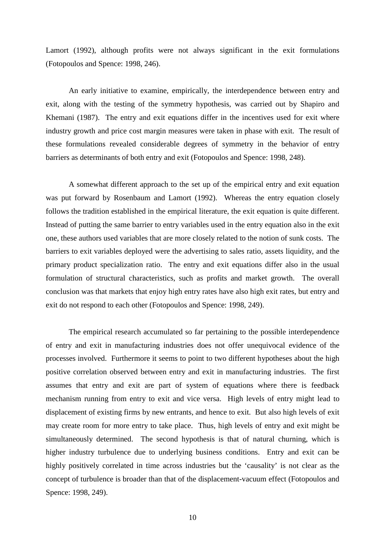Lamort (1992), although profits were not always significant in the exit formulations (Fotopoulos and Spence: 1998, 246).

An early initiative to examine, empirically, the interdependence between entry and exit, along with the testing of the symmetry hypothesis, was carried out by Shapiro and Khemani (1987). The entry and exit equations differ in the incentives used for exit where industry growth and price cost margin measures were taken in phase with exit. The result of these formulations revealed considerable degrees of symmetry in the behavior of entry barriers as determinants of both entry and exit (Fotopoulos and Spence: 1998, 248).

A somewhat different approach to the set up of the empirical entry and exit equation was put forward by Rosenbaum and Lamort (1992). Whereas the entry equation closely follows the tradition established in the empirical literature, the exit equation is quite different. Instead of putting the same barrier to entry variables used in the entry equation also in the exit one, these authors used variables that are more closely related to the notion of sunk costs. The barriers to exit variables deployed were the advertising to sales ratio, assets liquidity, and the primary product specialization ratio. The entry and exit equations differ also in the usual formulation of structural characteristics, such as profits and market growth. The overall conclusion was that markets that enjoy high entry rates have also high exit rates, but entry and exit do not respond to each other (Fotopoulos and Spence: 1998, 249).

The empirical research accumulated so far pertaining to the possible interdependence of entry and exit in manufacturing industries does not offer unequivocal evidence of the processes involved. Furthermore it seems to point to two different hypotheses about the high positive correlation observed between entry and exit in manufacturing industries. The first assumes that entry and exit are part of system of equations where there is feedback mechanism running from entry to exit and vice versa. High levels of entry might lead to displacement of existing firms by new entrants, and hence to exit. But also high levels of exit may create room for more entry to take place. Thus, high levels of entry and exit might be simultaneously determined. The second hypothesis is that of natural churning, which is higher industry turbulence due to underlying business conditions. Entry and exit can be highly positively correlated in time across industries but the 'causality' is not clear as the concept of turbulence is broader than that of the displacement-vacuum effect (Fotopoulos and Spence: 1998, 249).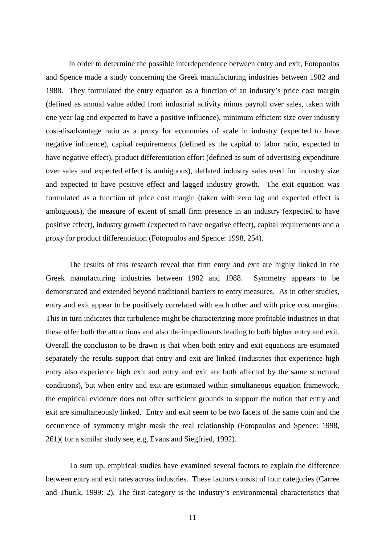In order to determine the possible interdependence between entry and exit, Fotopoulos and Spence made a study concerning the Greek manufacturing industries between 1982 and 1988. They formulated the entry equation as a function of an industry's price cost margin (defined as annual value added from industrial activity minus payroll over sales, taken with one year lag and expected to have a positive influence), minimum efficient size over industry cost-disadvantage ratio as a proxy for economies of scale in industry (expected to have negative influence), capital requirements (defined as the capital to labor ratio, expected to have negative effect), product differentiation effort (defined as sum of advertising expenditure over sales and expected effect is ambiguous), deflated industry sales used for industry size and expected to have positive effect and lagged industry growth. The exit equation was formulated as a function of price cost margin (taken with zero lag and expected effect is ambiguous), the measure of extent of small firm presence in an industry (expected to have positive effect), industry growth (expected to have negative effect), capital requirements and a proxy for product differentiation (Fotopoulos and Spence: 1998, 254).

The results of this research reveal that firm entry and exit are highly linked in the Greek manufacturing industries between 1982 and 1988. Symmetry appears to be demonstrated and extended beyond traditional barriers to entry measures. As in other studies, entry and exit appear to be positively correlated with each other and with price cost margins. This in turn indicates that turbulence might be characterizing more profitable industries in that these offer both the attractions and also the impediments leading to both higher entry and exit. Overall the conclusion to be drawn is that when both entry and exit equations are estimated separately the results support that entry and exit are linked (industries that experience high entry also experience high exit and entry and exit are both affected by the same structural conditions), but when entry and exit are estimated within simultaneous equation framework, the empirical evidence does not offer sufficient grounds to support the notion that entry and exit are simultaneously linked. Entry and exit seem to be two facets of the same coin and the occurrence of symmetry might mask the real relationship (Fotopoulos and Spence: 1998, 261)( for a similar study see, e.g, Evans and Siegfried, 1992).

To sum up, empirical studies have examined several factors to explain the difference between entry and exit rates across industries. These factors consist of four categories (Carree and Thurik, 1999: 2). The first category is the industry's environmental characteristics that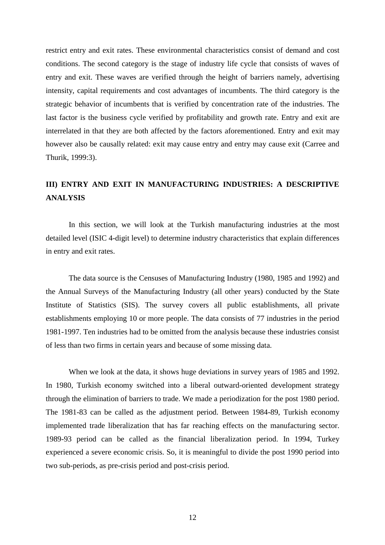restrict entry and exit rates. These environmental characteristics consist of demand and cost conditions. The second category is the stage of industry life cycle that consists of waves of entry and exit. These waves are verified through the height of barriers namely, advertising intensity, capital requirements and cost advantages of incumbents. The third category is the strategic behavior of incumbents that is verified by concentration rate of the industries. The last factor is the business cycle verified by profitability and growth rate. Entry and exit are interrelated in that they are both affected by the factors aforementioned. Entry and exit may however also be causally related: exit may cause entry and entry may cause exit (Carree and Thurik, 1999:3).

# **III) ENTRY AND EXIT IN MANUFACTURING INDUSTRIES: A DESCRIPTIVE ANALYSIS**

In this section, we will look at the Turkish manufacturing industries at the most detailed level (ISIC 4-digit level) to determine industry characteristics that explain differences in entry and exit rates.

The data source is the Censuses of Manufacturing Industry (1980, 1985 and 1992) and the Annual Surveys of the Manufacturing Industry (all other years) conducted by the State Institute of Statistics (SIS). The survey covers all public establishments, all private establishments employing 10 or more people. The data consists of 77 industries in the period 1981-1997. Ten industries had to be omitted from the analysis because these industries consist of less than two firms in certain years and because of some missing data.

When we look at the data, it shows huge deviations in survey years of 1985 and 1992. In 1980, Turkish economy switched into a liberal outward-oriented development strategy through the elimination of barriers to trade. We made a periodization for the post 1980 period. The 1981-83 can be called as the adjustment period. Between 1984-89, Turkish economy implemented trade liberalization that has far reaching effects on the manufacturing sector. 1989-93 period can be called as the financial liberalization period. In 1994, Turkey experienced a severe economic crisis. So, it is meaningful to divide the post 1990 period into two sub-periods, as pre-crisis period and post-crisis period.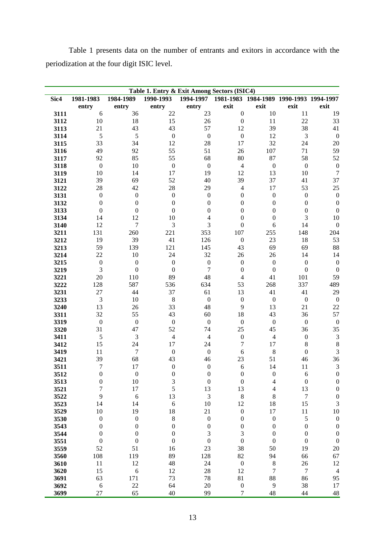Table 1 presents data on the number of entrants and exitors in accordance with the periodization at the four digit ISIC level.

|              | Table 1. Entry & Exit Among Sectors (ISIC4) |                  |                        |                      |                       |                                         |                                 |                             |  |  |  |  |
|--------------|---------------------------------------------|------------------|------------------------|----------------------|-----------------------|-----------------------------------------|---------------------------------|-----------------------------|--|--|--|--|
| Sic4         | 1981-1983                                   | 1984-1989        | 1990-1993              | 1994-1997            |                       | 1981-1983 1984-1989 1990-1993 1994-1997 |                                 |                             |  |  |  |  |
|              | entry                                       | entry            | entry                  | entry                | exit                  | exit                                    | exit                            | exit                        |  |  |  |  |
| 3111         | 6                                           | 36               | 22                     | 23                   | $\boldsymbol{0}$      | 10                                      | 11                              | 19                          |  |  |  |  |
| 3112         | 10                                          | 18               | 15                     | 26                   | $\boldsymbol{0}$      | 11                                      | 22                              | 33                          |  |  |  |  |
| 3113         | 21                                          | 43               | 43                     | 57                   | 12                    | 39                                      | 38                              | 41                          |  |  |  |  |
| 3114         | 5                                           | 5                | $\boldsymbol{0}$       | $\boldsymbol{0}$     | $\boldsymbol{0}$      | 12                                      | 3                               | $\boldsymbol{0}$            |  |  |  |  |
| 3115         | 33                                          | 34               | 12                     | 28                   | 17                    | 32                                      | 24                              | 20                          |  |  |  |  |
| 3116         | 49                                          | 92               | 55                     | 51                   | 26                    | 107                                     | 71                              | 59                          |  |  |  |  |
| 3117         | 92                                          | 85               | 55                     | 68                   | 80                    | 87                                      | 58                              | 52                          |  |  |  |  |
| 3118         | $\boldsymbol{0}$                            | 10               | $\boldsymbol{0}$       | $\boldsymbol{0}$     | $\overline{4}$        | $\boldsymbol{0}$                        | $\boldsymbol{0}$                | $\boldsymbol{0}$            |  |  |  |  |
| 3119         | 10                                          | 14               | 17                     | 19                   | 12                    | 13                                      | 10                              | $\boldsymbol{7}$            |  |  |  |  |
| 3121         | 39                                          | 69               | 52                     | 40                   | 39                    | 37                                      | 41                              | 37                          |  |  |  |  |
| 3122         | 28                                          | 42               | 28                     | 29                   | $\overline{4}$        | 17                                      | 53                              | 25                          |  |  |  |  |
| 3131         | $\boldsymbol{0}$                            | $\boldsymbol{0}$ | $\boldsymbol{0}$       | $\boldsymbol{0}$     | $\boldsymbol{0}$      | $\boldsymbol{0}$                        | $\boldsymbol{0}$                | $\boldsymbol{0}$            |  |  |  |  |
| 3132         | $\boldsymbol{0}$                            | $\boldsymbol{0}$ | $\boldsymbol{0}$       | $\boldsymbol{0}$     | $\boldsymbol{0}$      | $\boldsymbol{0}$                        | $\boldsymbol{0}$                | $\boldsymbol{0}$            |  |  |  |  |
| 3133         | $\boldsymbol{0}$                            | $\boldsymbol{0}$ | $\boldsymbol{0}$       | $\boldsymbol{0}$     | $\boldsymbol{0}$      | $\boldsymbol{0}$                        | $\boldsymbol{0}$                | $\boldsymbol{0}$            |  |  |  |  |
| 3134         | 14                                          | 12               | 10                     | $\overline{4}$       | $\boldsymbol{0}$      | $\boldsymbol{0}$                        | 3                               | 10                          |  |  |  |  |
| 3140         | 12                                          | $\tau$           | 3                      | 3                    | $\boldsymbol{0}$      | $\epsilon$                              | 14                              | $\boldsymbol{0}$            |  |  |  |  |
| 3211         | 131                                         | 260              | 221                    | 353                  | 107                   | 255                                     | 148                             | 204                         |  |  |  |  |
| 3212         | 19                                          | 39               | 41                     | 126                  | $\boldsymbol{0}$      | 23                                      | 18                              | 53                          |  |  |  |  |
| 3213         | 59                                          | 139              | 121                    | 145                  | 43                    | 69                                      | 69                              | 88                          |  |  |  |  |
| 3214         | 22                                          | 10               | 24                     | 32                   | 26                    | 26                                      | 14                              | 14                          |  |  |  |  |
| 3215         | $\boldsymbol{0}$                            | $\boldsymbol{0}$ | $\boldsymbol{0}$       | $\boldsymbol{0}$     | $\boldsymbol{0}$      | $\boldsymbol{0}$                        | $\boldsymbol{0}$                | $\boldsymbol{0}$            |  |  |  |  |
| 3219         | 3                                           | $\boldsymbol{0}$ | $\boldsymbol{0}$       | 7                    | $\boldsymbol{0}$      | $\boldsymbol{0}$                        | $\boldsymbol{0}$                | $\boldsymbol{0}$            |  |  |  |  |
| 3221         | 20                                          | 110              | 89                     | 48                   | $\overline{4}$        | 41                                      | 101                             | 59                          |  |  |  |  |
| 3222         | 128                                         | 587              | 536                    | 634                  | 53                    | 268                                     | 337                             | 489                         |  |  |  |  |
| 3231         | 27                                          | 44               | 37                     | 61                   | 13                    | 41                                      | 41                              | 29                          |  |  |  |  |
| 3233         | 3                                           | 10               | $\,$ 8 $\,$            | $\boldsymbol{0}$     | $\boldsymbol{0}$      | $\boldsymbol{0}$                        | $\boldsymbol{0}$                | $\boldsymbol{0}$            |  |  |  |  |
| 3240         | 13                                          | 26               | 33                     | 48                   | 9                     | 13                                      | 21                              | 22                          |  |  |  |  |
| 3311         | 32                                          | 55               | 43                     | 60                   | 18                    | 43                                      | 36                              | 57                          |  |  |  |  |
| 3319         | $\boldsymbol{0}$                            | $\boldsymbol{0}$ | $\boldsymbol{0}$       | $\boldsymbol{0}$     | $\boldsymbol{0}$      | $\boldsymbol{0}$                        | $\boldsymbol{0}$                | $\boldsymbol{0}$            |  |  |  |  |
| 3320         | 31                                          | 47               | 52                     | 74                   | 25                    | 45                                      | 36                              | 35                          |  |  |  |  |
| 3411         | $\sqrt{5}$                                  | 3                | $\overline{4}$         | $\overline{4}$<br>24 | $\boldsymbol{0}$<br>7 | $\overline{4}$                          | $\boldsymbol{0}$                | $\ensuremath{\mathfrak{Z}}$ |  |  |  |  |
| 3412<br>3419 | 15<br>11                                    | 24<br>$\tau$     | 17<br>$\boldsymbol{0}$ | $\boldsymbol{0}$     | $\sqrt{6}$            | 17<br>$\,8\,$                           | $\,$ 8 $\,$<br>$\boldsymbol{0}$ | $\,8\,$<br>$\overline{3}$   |  |  |  |  |
| 3421         | 39                                          | 68               | 43                     | 46                   | 23                    | 51                                      | 46                              | 36                          |  |  |  |  |
| 3511         | 7                                           | 17               | $\boldsymbol{0}$       | $\boldsymbol{0}$     | $\boldsymbol{6}$      | 14                                      | 11                              | $\mathfrak{Z}$              |  |  |  |  |
| 3512         | $\mathbf{0}$                                | $\boldsymbol{0}$ | $\boldsymbol{0}$       | $\boldsymbol{0}$     | $\mathbf{0}$          | $\boldsymbol{0}$                        | 6                               | $\mathbf{0}$                |  |  |  |  |
| 3513         | $\boldsymbol{0}$                            | 10               | 3                      | $\boldsymbol{0}$     | $\boldsymbol{0}$      | 4                                       | $\boldsymbol{0}$                | $\boldsymbol{0}$            |  |  |  |  |
| 3521         | $\boldsymbol{7}$                            | 17               | 5                      | 13                   | 13                    | $\overline{4}$                          | 13                              | $\boldsymbol{0}$            |  |  |  |  |
| 3522         | 9                                           | $\boldsymbol{6}$ | 13                     | $\mathfrak 3$        | $\,8\,$               | 8                                       | $\boldsymbol{7}$                | $\boldsymbol{0}$            |  |  |  |  |
| 3523         | 14                                          | 14               | $\boldsymbol{6}$       | 10                   | 12                    | 18                                      | 15                              | 3                           |  |  |  |  |
| 3529         | 10                                          | 19               | 18                     | 21                   | $\boldsymbol{0}$      | $17\,$                                  | 11                              | 10                          |  |  |  |  |
| 3530         | $\boldsymbol{0}$                            | $\boldsymbol{0}$ | 8                      | $\boldsymbol{0}$     | $\boldsymbol{0}$      | $\boldsymbol{0}$                        | 5                               | $\boldsymbol{0}$            |  |  |  |  |
| 3543         | $\boldsymbol{0}$                            | $\boldsymbol{0}$ | $\boldsymbol{0}$       | $\boldsymbol{0}$     | $\boldsymbol{0}$      | $\boldsymbol{0}$                        | $\boldsymbol{0}$                | $\boldsymbol{0}$            |  |  |  |  |
| 3544         | $\boldsymbol{0}$                            | $\boldsymbol{0}$ | $\boldsymbol{0}$       | $\sqrt{3}$           | $\mathfrak{Z}$        | $\boldsymbol{0}$                        | $\boldsymbol{0}$                | $\boldsymbol{0}$            |  |  |  |  |
| 3551         | $\boldsymbol{0}$                            | $\boldsymbol{0}$ | $\boldsymbol{0}$       | $\boldsymbol{0}$     | $\boldsymbol{0}$      | $\boldsymbol{0}$                        | $\boldsymbol{0}$                | $\boldsymbol{0}$            |  |  |  |  |
| 3559         | 52                                          | 51               | 16                     | 23                   | 38                    | 50                                      | 19                              | 20                          |  |  |  |  |
| 3560         | 108                                         | 119              | 89                     | 128                  | 82                    | 94                                      | 66                              | 67                          |  |  |  |  |
| 3610         | 11                                          | 12               | 48                     | 24                   | $\boldsymbol{0}$      | $\,$ 8 $\,$                             | 26                              | 12                          |  |  |  |  |
| 3620         | 15                                          | 6                | 12                     | 28                   | 12                    | $\boldsymbol{7}$                        | $\boldsymbol{7}$                | $\overline{4}$              |  |  |  |  |
| 3691         | 63                                          | 171              | 73                     | 78                   | 81                    | 88                                      | 86                              | 95                          |  |  |  |  |
| 3692         | $\boldsymbol{6}$                            | 22               | 64                     | 20                   | $\boldsymbol{0}$      | $\overline{9}$                          | 38                              | 17                          |  |  |  |  |
| 3699         | 27                                          | 65               | 40                     | 99                   | $\boldsymbol{7}$      | 48                                      | 44                              | 48                          |  |  |  |  |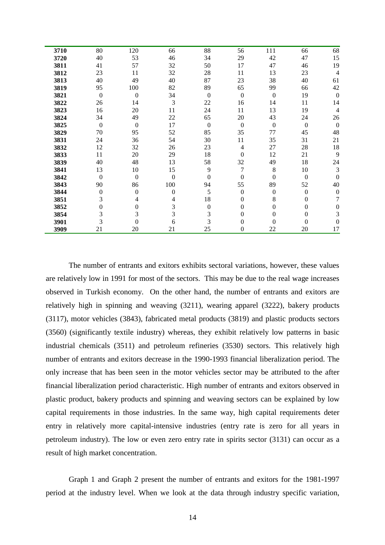| 3710 | 80               | 120          | 66               | 88               | 56               | 111              | 66               | 68               |
|------|------------------|--------------|------------------|------------------|------------------|------------------|------------------|------------------|
| 3720 | 40               | 53           | 46               | 34               | 29               | 42               | 47               | 15               |
| 3811 | 41               | 57           | 32               | 50               | 17               | 47               | 46               | 19               |
| 3812 | 23               | 11           | 32               | 28               | 11               | 13               | 23               | $\overline{4}$   |
| 3813 | 40               | 49           | 40               | 87               | 23               | 38               | 40               | 61               |
| 3819 | 95               | 100          | 82               | 89               | 65               | 99               | 66               | 42               |
| 3821 | $\boldsymbol{0}$ | $\mathbf{0}$ | 34               | $\boldsymbol{0}$ | $\boldsymbol{0}$ | $\boldsymbol{0}$ | 19               | $\mathbf{0}$     |
| 3822 | 26               | 14           | 3                | 22               | 16               | 14               | 11               | 14               |
| 3823 | 16               | 20           | 11               | 24               | 11               | 13               | 19               | $\overline{4}$   |
| 3824 | 34               | 49           | $22\,$           | 65               | 20               | 43               | 24               | 26               |
| 3825 | $\boldsymbol{0}$ | $\mathbf{0}$ | 17               | $\theta$         | $\boldsymbol{0}$ | $\boldsymbol{0}$ | $\boldsymbol{0}$ | $\boldsymbol{0}$ |
| 3829 | 70               | 95           | 52               | 85               | 35               | 77               | 45               | 48               |
| 3831 | 24               | 36           | 54               | 30               | 11               | 35               | 31               | 21               |
| 3832 | 12               | 32           | 26               | 23               | 4                | 27               | 28               | 18               |
| 3833 | 11               | 20           | 29               | 18               | $\theta$         | 12               | 21               | 9                |
| 3839 | 40               | 48           | 13               | 58               | 32               | 49               | 18               | 24               |
| 3841 | 13               | 10           | 15               | 9                | 7                | 8                | 10               | $\mathfrak{Z}$   |
| 3842 | $\mathbf{0}$     | $\Omega$     | $\boldsymbol{0}$ | $\theta$         | $\theta$         | $\theta$         | $\boldsymbol{0}$ | $\theta$         |
| 3843 | 90               | 86           | 100              | 94               | 55               | 89               | 52               | 40               |
| 3844 | $\boldsymbol{0}$ | $\Omega$     | $\overline{0}$   | 5                | $\mathbf{0}$     | $\mathbf{0}$     | $\mathbf{0}$     | $\overline{0}$   |
| 3851 | 3                | 4            | 4                | 18               | $\mathbf{0}$     | 8                | 0                | 7                |
| 3852 | $\overline{0}$   | 0            | 3                | $\theta$         | 0                | 0                | 0                | 0                |
| 3854 | 3                | 3            | 3                | 3                | $\theta$         | $\mathbf{0}$     | 0                | 3                |
| 3901 | 3                | $\theta$     | 6                | 3                | 0                | 0                | 0                | 0                |
| 3909 | 21               | 20           | 21               | 25               | 0                | 22               | 20               | 17               |

The number of entrants and exitors exhibits sectoral variations, however, these values are relatively low in 1991 for most of the sectors. This may be due to the real wage increases observed in Turkish economy. On the other hand, the number of entrants and exitors are relatively high in spinning and weaving (3211), wearing apparel (3222), bakery products (3117), motor vehicles (3843), fabricated metal products (3819) and plastic products sectors (3560) (significantly textile industry) whereas, they exhibit relatively low patterns in basic industrial chemicals (3511) and petroleum refineries (3530) sectors. This relatively high number of entrants and exitors decrease in the 1990-1993 financial liberalization period. The only increase that has been seen in the motor vehicles sector may be attributed to the after financial liberalization period characteristic. High number of entrants and exitors observed in plastic product, bakery products and spinning and weaving sectors can be explained by low capital requirements in those industries. In the same way, high capital requirements deter entry in relatively more capital-intensive industries (entry rate is zero for all years in petroleum industry). The low or even zero entry rate in spirits sector (3131) can occur as a result of high market concentration.

Graph 1 and Graph 2 present the number of entrants and exitors for the 1981-1997 period at the industry level. When we look at the data through industry specific variation,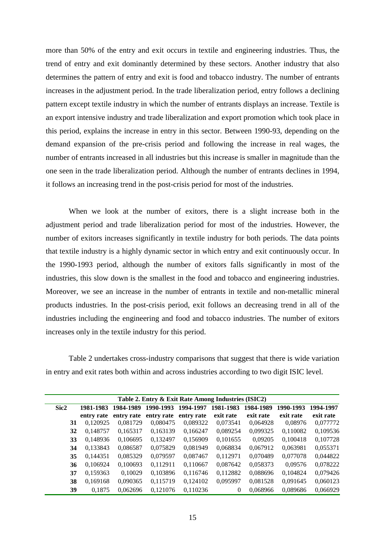more than 50% of the entry and exit occurs in textile and engineering industries. Thus, the trend of entry and exit dominantly determined by these sectors. Another industry that also determines the pattern of entry and exit is food and tobacco industry. The number of entrants increases in the adjustment period. In the trade liberalization period, entry follows a declining pattern except textile industry in which the number of entrants displays an increase. Textile is an export intensive industry and trade liberalization and export promotion which took place in this period, explains the increase in entry in this sector. Between 1990-93, depending on the demand expansion of the pre-crisis period and following the increase in real wages, the number of entrants increased in all industries but this increase is smaller in magnitude than the one seen in the trade liberalization period. Although the number of entrants declines in 1994, it follows an increasing trend in the post-crisis period for most of the industries.

When we look at the number of exitors, there is a slight increase both in the adjustment period and trade liberalization period for most of the industries. However, the number of exitors increases significantly in textile industry for both periods. The data points that textile industry is a highly dynamic sector in which entry and exit continuously occur. In the 1990-1993 period, although the number of exitors falls significantly in most of the industries, this slow down is the smallest in the food and tobacco and engineering industries. Moreover, we see an increase in the number of entrants in textile and non-metallic mineral products industries. In the post-crisis period, exit follows an decreasing trend in all of the industries including the engineering and food and tobacco industries. The number of exitors increases only in the textile industry for this period.

Table 2 undertakes cross-industry comparisons that suggest that there is wide variation in entry and exit rates both within and across industries according to two digit ISIC level.

| Table 2. Entry & Exit Rate Among Industries (ISIC2) |                            |                                              |            |                                               |           |           |                                                          |  |  |  |  |
|-----------------------------------------------------|----------------------------|----------------------------------------------|------------|-----------------------------------------------|-----------|-----------|----------------------------------------------------------|--|--|--|--|
| 1981-1983                                           | 1984-1989                  | 1990-1993                                    | 1994-1997  | 1981-1983                                     | 1984-1989 | 1990-1993 | 1994-1997                                                |  |  |  |  |
| entry rate                                          |                            |                                              |            | exit rate                                     | exit rate | exit rate | exit rate                                                |  |  |  |  |
| 0.120925                                            | 0,081729                   | 0,080475                                     | 0,089322   | 0,073541                                      | 0,064928  | 0,08976   | 0,077772                                                 |  |  |  |  |
| 0,148757                                            | 0,165317                   | 0,163139                                     | 0,166247   | 0,089254                                      | 0,099325  | 0,110082  | 0,109536                                                 |  |  |  |  |
|                                                     | 0,106695                   | 0,132497                                     | 0,156909   | 0,101655                                      | 0,09205   | 0,100418  | 0,107728                                                 |  |  |  |  |
|                                                     | 0,086587                   | 0,075829                                     | 0.081949   | 0.068834                                      |           | 0.063981  | 0,055371                                                 |  |  |  |  |
| 0,144351                                            | 0,085329                   | 0,079597                                     | 0,087467   | 0,112971                                      |           | 0,077078  | 0,044822                                                 |  |  |  |  |
|                                                     | 0,100693                   | 0.112911                                     | 0,110667   | 0,087642                                      | 0,058373  | 0,09576   | 0,078222                                                 |  |  |  |  |
| 0,159363                                            | 0,10029                    |                                              | 0,116746   | 0,112882                                      |           | 0,104824  | 0,079426                                                 |  |  |  |  |
|                                                     | 0,090365                   | 0,115719                                     | 0,124102   | 0,095997                                      |           | 0,091645  | 0,060123                                                 |  |  |  |  |
| 0.1875                                              | 0.062696                   |                                              | 0,110236   | $\Omega$                                      |           | 0.089686  | 0,066929                                                 |  |  |  |  |
|                                                     | 32<br>33<br>35<br>36<br>38 | 0,148936<br>0,133843<br>0,106924<br>0,169168 | entry rate | entry rate entry rate<br>0,103896<br>0.121076 |           |           | 0,067912<br>0,070489<br>0,088696<br>0,081528<br>0.068966 |  |  |  |  |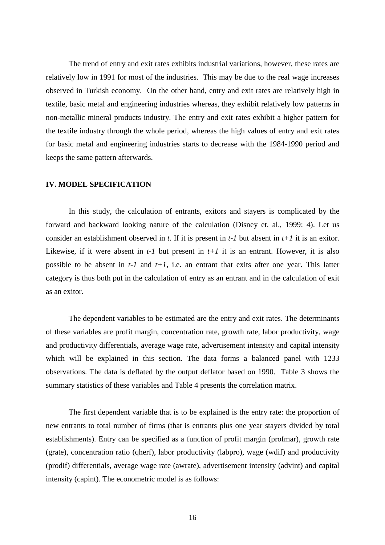The trend of entry and exit rates exhibits industrial variations, however, these rates are relatively low in 1991 for most of the industries. This may be due to the real wage increases observed in Turkish economy. On the other hand, entry and exit rates are relatively high in textile, basic metal and engineering industries whereas, they exhibit relatively low patterns in non-metallic mineral products industry. The entry and exit rates exhibit a higher pattern for the textile industry through the whole period, whereas the high values of entry and exit rates for basic metal and engineering industries starts to decrease with the 1984-1990 period and keeps the same pattern afterwards.

#### **IV. MODEL SPECIFICATION**

In this study, the calculation of entrants, exitors and stayers is complicated by the forward and backward looking nature of the calculation (Disney et. al., 1999: 4). Let us consider an establishment observed in *t*. If it is present in *t-1* but absent in *t+1* it is an exitor. Likewise, if it were absent in  $t-1$  but present in  $t+1$  it is an entrant. However, it is also possible to be absent in  $t$ -*1* and  $t$ +*1*, i.e. an entrant that exits after one year. This latter category is thus both put in the calculation of entry as an entrant and in the calculation of exit as an exitor.

The dependent variables to be estimated are the entry and exit rates. The determinants of these variables are profit margin, concentration rate, growth rate, labor productivity, wage and productivity differentials, average wage rate, advertisement intensity and capital intensity which will be explained in this section. The data forms a balanced panel with 1233 observations. The data is deflated by the output deflator based on 1990. Table 3 shows the summary statistics of these variables and Table 4 presents the correlation matrix.

The first dependent variable that is to be explained is the entry rate: the proportion of new entrants to total number of firms (that is entrants plus one year stayers divided by total establishments). Entry can be specified as a function of profit margin (profmar), growth rate (grate), concentration ratio (qherf), labor productivity (labpro), wage (wdif) and productivity (prodif) differentials, average wage rate (awrate), advertisement intensity (advint) and capital intensity (capint). The econometric model is as follows: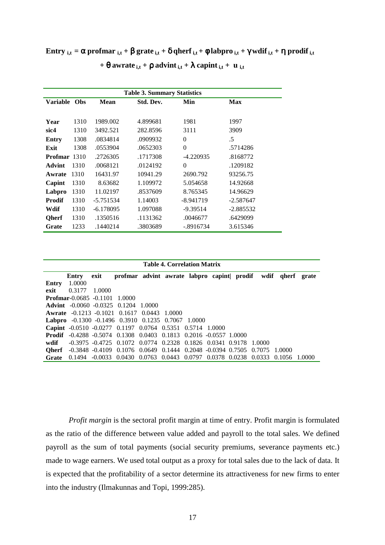**Entry**  $_{i,t} = \alpha$  profmar  $_{i,t} + \beta$  grate  $_{i,t} + \delta$  qherf  $_{i,t} + \phi$  labpro  $_{i,t} + \gamma$  wdif  $_{i,t} + \eta$  prodif  $_{i,t}$ 

| <b>Table 3. Summary Statistics</b> |            |             |           |             |             |  |  |  |  |  |
|------------------------------------|------------|-------------|-----------|-------------|-------------|--|--|--|--|--|
| <b>Variable</b>                    | <b>Obs</b> | <b>Mean</b> | Std. Dev. | Min         | <b>Max</b>  |  |  |  |  |  |
|                                    |            |             |           |             |             |  |  |  |  |  |
| Year                               | 1310       | 1989.002    | 4.899681  | 1981        | 1997        |  |  |  |  |  |
| sic4                               | 1310       | 3492.521    | 282.8596  | 3111        | 3909        |  |  |  |  |  |
| Entry                              | 1308       | .0834814    | .0909932  | $\Omega$    | .5          |  |  |  |  |  |
| Exit                               | 1308       | .0553904    | .0652303  | $\theta$    | .5714286    |  |  |  |  |  |
| <b>Profmar</b> 1310                |            | .2726305    | .1717308  | $-4.220935$ | .8168772    |  |  |  |  |  |
| <b>Advint</b>                      | 1310       | .0068121    | .0124192  | $\Omega$    | .1209182    |  |  |  |  |  |
| Awrate                             | 1310       | 16431.97    | 10941.29  | 2690.792    | 93256.75    |  |  |  |  |  |
| Capint                             | 1310       | 8.63682     | 1.109972  | 5.054658    | 14.92668    |  |  |  |  |  |
| Labpro                             | 1310       | 11.02197    | .8537609  | 8.765345    | 14.96629    |  |  |  |  |  |
| <b>Prodif</b>                      | 1310       | $-5.751534$ | 1.14003   | $-8.941719$ | $-2.587647$ |  |  |  |  |  |
| Wdif                               | 1310       | $-6.178095$ | 1.097088  | $-9.39514$  | $-2.885532$ |  |  |  |  |  |
| <b>Oherf</b>                       | 1310       | .1350516    | .1131362  | .0046677    | .6429099    |  |  |  |  |  |
| Grate                              | 1233       | .1440214    | .3803689  | $-.8916734$ | 3.615346    |  |  |  |  |  |

**+**  $\theta$  awrate  $_{i,t}$  +  $\rho$  advint  $_{i,t}$  +  $\lambda$  capint  $_{i,t}$  +  $\mu$   $_{i,t}$ 

| <b>Table 4. Correlation Matrix</b> |                                         |        |                                                                            |        |  |  |  |  |        |               |       |
|------------------------------------|-----------------------------------------|--------|----------------------------------------------------------------------------|--------|--|--|--|--|--------|---------------|-------|
|                                    | Entry                                   | exit   | profmar advint awrate labpro capint prodif wdif                            |        |  |  |  |  |        | qherf         | grate |
| Entry                              | 1.0000                                  |        |                                                                            |        |  |  |  |  |        |               |       |
| exit                               | 0.3177                                  | 1.0000 |                                                                            |        |  |  |  |  |        |               |       |
|                                    | <b>Profmar-0.0685 -0.1101 1.0000</b>    |        |                                                                            |        |  |  |  |  |        |               |       |
|                                    | <b>Advint</b> $-0.0060 - 0.0325 0.1204$ |        |                                                                            | 1.0000 |  |  |  |  |        |               |       |
|                                    |                                         |        | <b>Awrate</b> -0.1213 -0.1021 0.1617 0.0443 1.0000                         |        |  |  |  |  |        |               |       |
|                                    |                                         |        | <b>Labpro</b> $-0.1300 -0.1496$ 0.3910 0.1235 0.7067 1.0000                |        |  |  |  |  |        |               |       |
|                                    |                                         |        | <b>Capint</b> $-0.0510 -0.0277$ 0.1197 0.0764 0.5351 0.5714 1.0000         |        |  |  |  |  |        |               |       |
| Prodif                             |                                         |        | $-0.4288$ $-0.5074$ 0.1308 0.0403 0.1813 0.2016 $-0.0557$ 1.0000           |        |  |  |  |  |        |               |       |
| wdif                               |                                         |        | $-0.3975$ $-0.4725$ $0.1072$ $0.0774$ $0.2328$ $0.1826$ $0.0341$ $0.9178$  |        |  |  |  |  | 1.0000 |               |       |
| <b>Oherf</b>                       |                                         |        | $-0.3848$ $-0.4109$ $0.1076$ $0.0649$ $0.1444$ $0.2048$ $-0.0394$ $0.7505$ |        |  |  |  |  | 0.7075 | 1.0000        |       |
| Grate                              |                                         |        | 0.1494 -0.0033 0.0430 0.0763 0.0443 0.0797 0.0378 0.0238                   |        |  |  |  |  | 0.0333 | 0.1056 1.0000 |       |

*Profit margin* is the sectoral profit margin at time of entry. Profit margin is formulated as the ratio of the difference between value added and payroll to the total sales. We defined payroll as the sum of total payments (social security premiums, severance payments etc.) made to wage earners. We used total output as a proxy for total sales due to the lack of data. It is expected that the profitability of a sector determine its attractiveness for new firms to enter into the industry (Ilmakunnas and Topi, 1999:285).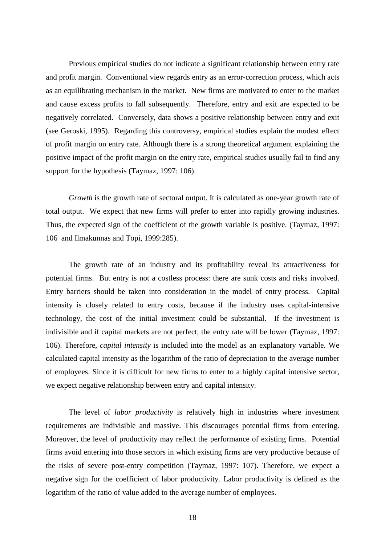Previous empirical studies do not indicate a significant relationship between entry rate and profit margin. Conventional view regards entry as an error-correction process, which acts as an equilibrating mechanism in the market. New firms are motivated to enter to the market and cause excess profits to fall subsequently. Therefore, entry and exit are expected to be negatively correlated. Conversely, data shows a positive relationship between entry and exit (see Geroski, 1995). Regarding this controversy, empirical studies explain the modest effect of profit margin on entry rate. Although there is a strong theoretical argument explaining the positive impact of the profit margin on the entry rate, empirical studies usually fail to find any support for the hypothesis (Taymaz, 1997: 106).

*Growth* is the growth rate of sectoral output. It is calculated as one-year growth rate of total output. We expect that new firms will prefer to enter into rapidly growing industries. Thus, the expected sign of the coefficient of the growth variable is positive. (Taymaz, 1997: 106 and Ilmakunnas and Topi, 1999:285).

The growth rate of an industry and its profitability reveal its attractiveness for potential firms. But entry is not a costless process: there are sunk costs and risks involved. Entry barriers should be taken into consideration in the model of entry process. Capital intensity is closely related to entry costs, because if the industry uses capital-intensive technology, the cost of the initial investment could be substantial. If the investment is indivisible and if capital markets are not perfect, the entry rate will be lower (Taymaz, 1997: 106). Therefore, *capital intensity* is included into the model as an explanatory variable. We calculated capital intensity as the logarithm of the ratio of depreciation to the average number of employees. Since it is difficult for new firms to enter to a highly capital intensive sector, we expect negative relationship between entry and capital intensity.

The level of *labor productivity* is relatively high in industries where investment requirements are indivisible and massive. This discourages potential firms from entering. Moreover, the level of productivity may reflect the performance of existing firms. Potential firms avoid entering into those sectors in which existing firms are very productive because of the risks of severe post-entry competition (Taymaz, 1997: 107). Therefore, we expect a negative sign for the coefficient of labor productivity. Labor productivity is defined as the logarithm of the ratio of value added to the average number of employees.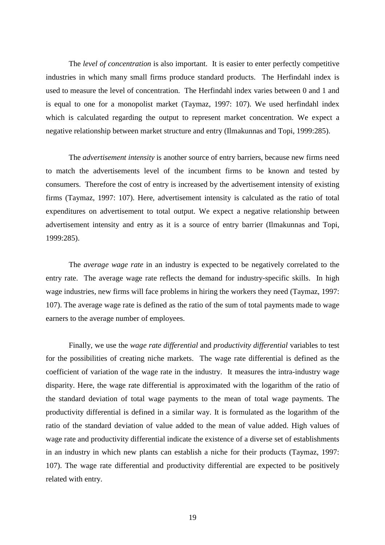The *level of concentration* is also important. It is easier to enter perfectly competitive industries in which many small firms produce standard products. The Herfindahl index is used to measure the level of concentration. The Herfindahl index varies between 0 and 1 and is equal to one for a monopolist market (Taymaz, 1997: 107). We used herfindahl index which is calculated regarding the output to represent market concentration. We expect a negative relationship between market structure and entry (Ilmakunnas and Topi, 1999:285).

The *advertisement intensity* is another source of entry barriers, because new firms need to match the advertisements level of the incumbent firms to be known and tested by consumers. Therefore the cost of entry is increased by the advertisement intensity of existing firms (Taymaz, 1997: 107). Here, advertisement intensity is calculated as the ratio of total expenditures on advertisement to total output. We expect a negative relationship between advertisement intensity and entry as it is a source of entry barrier (Ilmakunnas and Topi, 1999:285).

The *average wage rate* in an industry is expected to be negatively correlated to the entry rate. The average wage rate reflects the demand for industry-specific skills. In high wage industries, new firms will face problems in hiring the workers they need (Taymaz, 1997: 107). The average wage rate is defined as the ratio of the sum of total payments made to wage earners to the average number of employees.

Finally, we use the *wage rate differential* and *productivity differential* variables to test for the possibilities of creating niche markets. The wage rate differential is defined as the coefficient of variation of the wage rate in the industry. It measures the intra-industry wage disparity. Here, the wage rate differential is approximated with the logarithm of the ratio of the standard deviation of total wage payments to the mean of total wage payments. The productivity differential is defined in a similar way. It is formulated as the logarithm of the ratio of the standard deviation of value added to the mean of value added. High values of wage rate and productivity differential indicate the existence of a diverse set of establishments in an industry in which new plants can establish a niche for their products (Taymaz, 1997: 107). The wage rate differential and productivity differential are expected to be positively related with entry.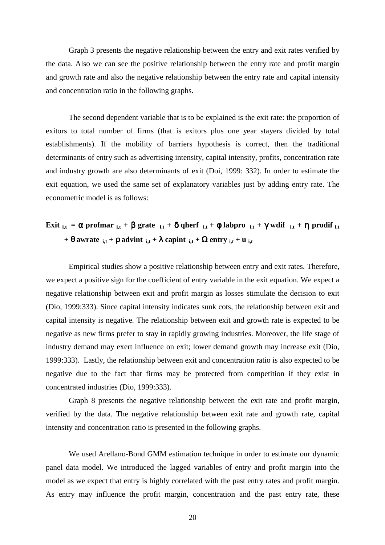Graph 3 presents the negative relationship between the entry and exit rates verified by the data. Also we can see the positive relationship between the entry rate and profit margin and growth rate and also the negative relationship between the entry rate and capital intensity and concentration ratio in the following graphs.

The second dependent variable that is to be explained is the exit rate: the proportion of exitors to total number of firms (that is exitors plus one year stayers divided by total establishments). If the mobility of barriers hypothesis is correct, then the traditional determinants of entry such as advertising intensity, capital intensity, profits, concentration rate and industry growth are also determinants of exit (Doi, 1999: 332). In order to estimate the exit equation, we used the same set of explanatory variables just by adding entry rate. The econometric model is as follows:

# **Exit**  $_{i,t} = \alpha$  profmar  $_{i,t} + \beta$  grate  $_{i,t} + \delta$  qherf  $_{i,t} + \phi$  labpro  $_{i,t} + \gamma$  wdif  $_{i,t} + \eta$  prodif  $_{i,t}$ **+**  $\theta$  awrate  $\mathbf{i}_{i,t}$  +  $\boldsymbol{\rho}$  advint  $\mathbf{i}_{i,t}$  +  $\boldsymbol{\lambda}$  capint  $\mathbf{i}_{i,t}$  +  $\boldsymbol{\Omega}$  entry  $\mathbf{i}_{i,t}$  +  $\mathbf{u}_{i,t}$

Empirical studies show a positive relationship between entry and exit rates. Therefore, we expect a positive sign for the coefficient of entry variable in the exit equation. We expect a negative relationship between exit and profit margin as losses stimulate the decision to exit (Dio, 1999:333). Since capital intensity indicates sunk cots, the relationship between exit and capital intensity is negative. The relationship between exit and growth rate is expected to be negative as new firms prefer to stay in rapidly growing industries. Moreover, the life stage of industry demand may exert influence on exit; lower demand growth may increase exit (Dio, 1999:333). Lastly, the relationship between exit and concentration ratio is also expected to be negative due to the fact that firms may be protected from competition if they exist in concentrated industries (Dio, 1999:333).

Graph 8 presents the negative relationship between the exit rate and profit margin, verified by the data. The negative relationship between exit rate and growth rate, capital intensity and concentration ratio is presented in the following graphs.

We used Arellano-Bond GMM estimation technique in order to estimate our dynamic panel data model. We introduced the lagged variables of entry and profit margin into the model as we expect that entry is highly correlated with the past entry rates and profit margin. As entry may influence the profit margin, concentration and the past entry rate, these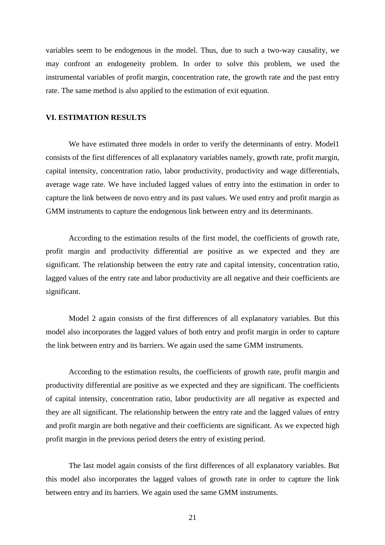variables seem to be endogenous in the model. Thus, due to such a two-way causality, we may confront an endogeneity problem. In order to solve this problem, we used the instrumental variables of profit margin, concentration rate, the growth rate and the past entry rate. The same method is also applied to the estimation of exit equation.

### **VI. ESTIMATION RESULTS**

We have estimated three models in order to verify the determinants of entry. Model1 consists of the first differences of all explanatory variables namely, growth rate, profit margin, capital intensity, concentration ratio, labor productivity, productivity and wage differentials, average wage rate. We have included lagged values of entry into the estimation in order to capture the link between de novo entry and its past values. We used entry and profit margin as GMM instruments to capture the endogenous link between entry and its determinants.

According to the estimation results of the first model, the coefficients of growth rate, profit margin and productivity differential are positive as we expected and they are significant. The relationship between the entry rate and capital intensity, concentration ratio, lagged values of the entry rate and labor productivity are all negative and their coefficients are significant.

Model 2 again consists of the first differences of all explanatory variables. But this model also incorporates the lagged values of both entry and profit margin in order to capture the link between entry and its barriers. We again used the same GMM instruments.

According to the estimation results, the coefficients of growth rate, profit margin and productivity differential are positive as we expected and they are significant. The coefficients of capital intensity, concentration ratio, labor productivity are all negative as expected and they are all significant. The relationship between the entry rate and the lagged values of entry and profit margin are both negative and their coefficients are significant. As we expected high profit margin in the previous period deters the entry of existing period.

The last model again consists of the first differences of all explanatory variables. But this model also incorporates the lagged values of growth rate in order to capture the link between entry and its barriers. We again used the same GMM instruments.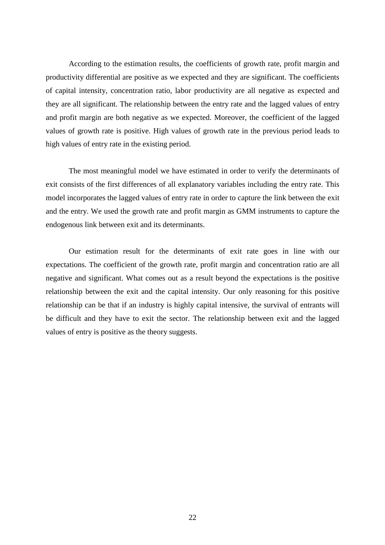According to the estimation results, the coefficients of growth rate, profit margin and productivity differential are positive as we expected and they are significant. The coefficients of capital intensity, concentration ratio, labor productivity are all negative as expected and they are all significant. The relationship between the entry rate and the lagged values of entry and profit margin are both negative as we expected. Moreover, the coefficient of the lagged values of growth rate is positive. High values of growth rate in the previous period leads to high values of entry rate in the existing period.

The most meaningful model we have estimated in order to verify the determinants of exit consists of the first differences of all explanatory variables including the entry rate. This model incorporates the lagged values of entry rate in order to capture the link between the exit and the entry. We used the growth rate and profit margin as GMM instruments to capture the endogenous link between exit and its determinants.

Our estimation result for the determinants of exit rate goes in line with our expectations. The coefficient of the growth rate, profit margin and concentration ratio are all negative and significant. What comes out as a result beyond the expectations is the positive relationship between the exit and the capital intensity. Our only reasoning for this positive relationship can be that if an industry is highly capital intensive, the survival of entrants will be difficult and they have to exit the sector. The relationship between exit and the lagged values of entry is positive as the theory suggests.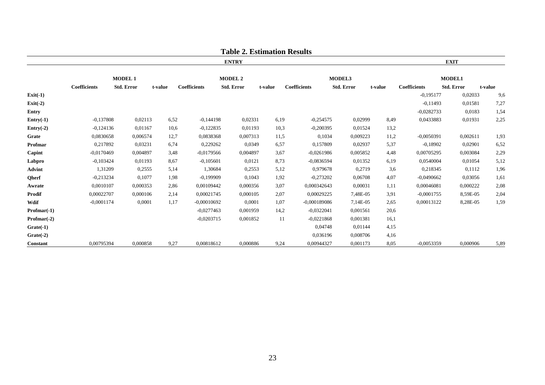|               |                     |                   |         |                     | Table 2. Estimation Results |         |                     |                   |         |                     |                   |         |  |
|---------------|---------------------|-------------------|---------|---------------------|-----------------------------|---------|---------------------|-------------------|---------|---------------------|-------------------|---------|--|
|               |                     |                   |         |                     | <b>ENTRY</b>                |         |                     |                   |         |                     | <b>EXIT</b>       |         |  |
|               |                     | <b>MODEL 1</b>    |         |                     | <b>MODEL 2</b>              |         |                     | MODEL3            |         | <b>MODEL1</b>       |                   |         |  |
|               | <b>Coefficients</b> | <b>Std. Error</b> | t-value | <b>Coefficients</b> | <b>Std. Error</b>           | t-value | <b>Coefficients</b> | <b>Std. Error</b> | t-value | <b>Coefficients</b> | <b>Std. Error</b> | t-value |  |
| $Exit(-1)$    |                     |                   |         |                     |                             |         |                     |                   |         | $-0,195177$         | 0,02033           | 9,6     |  |
| $Exit(-2)$    |                     |                   |         |                     |                             |         |                     |                   |         | $-0.11493$          | 0,01581           | 7,27    |  |
| Entry         |                     |                   |         |                     |                             |         |                     |                   |         | $-0.0282733$        | 0.0183            | 1,54    |  |
| $Entry(-1)$   | $-0,137808$         | 0,02113           | 6,52    | $-0,144198$         | 0,02331                     | 6,19    | $-0,254575$         | 0,02999           | 8,49    | 0,0433883           | 0,01931           | 2,25    |  |
| $Entry(-2)$   | $-0,124136$         | 0,01167           | 10,6    | $-0,122835$         | 0,01193                     | 10,3    | $-0,200395$         | 0,01524           | 13,2    |                     |                   |         |  |
| Grate         | 0,0830658           | 0,006574          | 12,7    | 0.0838368           | 0,007313                    | 11,5    | 0,1034              | 0,009223          | 11,2    | $-0.0050391$        | 0,002611          | 1,93    |  |
| Profmar       | 0,217892            | 0,03231           | 6,74    | 0,229262            | 0,0349                      | 6,57    | 0,157809            | 0,02937           | 5,37    | $-0,18902$          | 0,02901           | 6,52    |  |
| Capint        | $-0.0170469$        | 0,004897          | 3,48    | $-0.0179566$        | 0,004897                    | 3,67    | $-0,0261986$        | 0.005852          | 4,48    | 0,00705295          | 0,003084          | 2,29    |  |
| Labpro        | $-0,103424$         | 0,01193           | 8,67    | $-0,105601$         | 0,0121                      | 8,73    | $-0,0836594$        | 0,01352           | 6,19    | 0,0540004           | 0,01054           | 5,12    |  |
| <b>Advint</b> | 1,31209             | 0,2555            | 5,14    | 1,30684             | 0,2553                      | 5,12    | 0.979678            | 0,2719            | 3,6     | 0,218345            | 0,1112            | 1,96    |  |
| Qherf         | $-0,213234$         | 0,1077            | 1,98    | $-0,199909$         | 0,1043                      | 1,92    | $-0,273202$         | 0,06708           | 4,07    | $-0.0490662$        | 0,03056           | 1,61    |  |
| Awrate        | 0,0010107           | 0,000353          | 2,86    | 0,00109442          | 0,000356                    | 3,07    | 0,000342643         | 0,00031           | 1,11    | 0,00046081          | 0,000222          | 2,08    |  |
| Prodif        | 0,00022707          | 0,000106          | 2,14    | 0,00021745          | 0,000105                    | 2,07    | 0,00029225          | 7,48E-05          | 3,91    | $-0,0001755$        | 8,59E-05          | 2,04    |  |
| Wdif          | $-0,0001174$        | 0,0001            | 1,17    | $-0,00010692$       | 0,0001                      | 1,07    | $-0,000189086$      | 7,14E-05          | 2,65    | 0,00013122          | 8,28E-05          | 1,59    |  |
| $Profmar(-1)$ |                     |                   |         | $-0,0277463$        | 0,001959                    | 14,2    | $-0,0322041$        | 0,001561          | 20,6    |                     |                   |         |  |
| $Profmar(-2)$ |                     |                   |         | $-0,0203715$        | 0,001852                    | 11      | $-0,0221868$        | 0,001381          | 16,1    |                     |                   |         |  |
| $Grate(-1)$   |                     |                   |         |                     |                             |         | 0,04748             | 0,01144           | 4,15    |                     |                   |         |  |
| $Grate(-2)$   |                     |                   |         |                     |                             |         | 0,036196            | 0,008706          | 4,16    |                     |                   |         |  |
| Constant      | 0,00795394          | 0,000858          | 9,27    | 0,00818612          | 0,000886                    | 9,24    | 0,00944327          | 0,001173          | 8,05    | $-0,0053359$        | 0,000906          | 5,89    |  |

**Table 2. Estimation Results**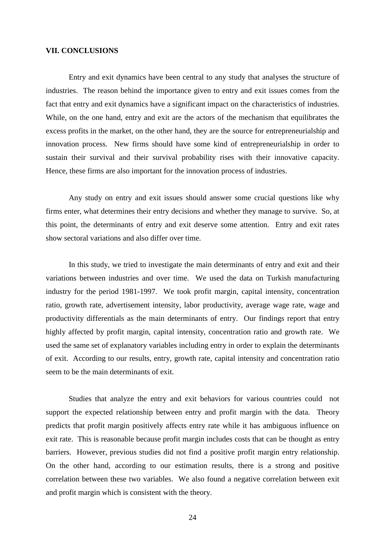#### **VII. CONCLUSIONS**

Entry and exit dynamics have been central to any study that analyses the structure of industries. The reason behind the importance given to entry and exit issues comes from the fact that entry and exit dynamics have a significant impact on the characteristics of industries. While, on the one hand, entry and exit are the actors of the mechanism that equilibrates the excess profits in the market, on the other hand, they are the source for entrepreneurialship and innovation process. New firms should have some kind of entrepreneurialship in order to sustain their survival and their survival probability rises with their innovative capacity. Hence, these firms are also important for the innovation process of industries.

Any study on entry and exit issues should answer some crucial questions like why firms enter, what determines their entry decisions and whether they manage to survive. So, at this point, the determinants of entry and exit deserve some attention. Entry and exit rates show sectoral variations and also differ over time.

In this study, we tried to investigate the main determinants of entry and exit and their variations between industries and over time. We used the data on Turkish manufacturing industry for the period 1981-1997. We took profit margin, capital intensity, concentration ratio, growth rate, advertisement intensity, labor productivity, average wage rate, wage and productivity differentials as the main determinants of entry. Our findings report that entry highly affected by profit margin, capital intensity, concentration ratio and growth rate. We used the same set of explanatory variables including entry in order to explain the determinants of exit. According to our results, entry, growth rate, capital intensity and concentration ratio seem to be the main determinants of exit.

Studies that analyze the entry and exit behaviors for various countries could not support the expected relationship between entry and profit margin with the data. Theory predicts that profit margin positively affects entry rate while it has ambiguous influence on exit rate. This is reasonable because profit margin includes costs that can be thought as entry barriers. However, previous studies did not find a positive profit margin entry relationship. On the other hand, according to our estimation results, there is a strong and positive correlation between these two variables. We also found a negative correlation between exit and profit margin which is consistent with the theory.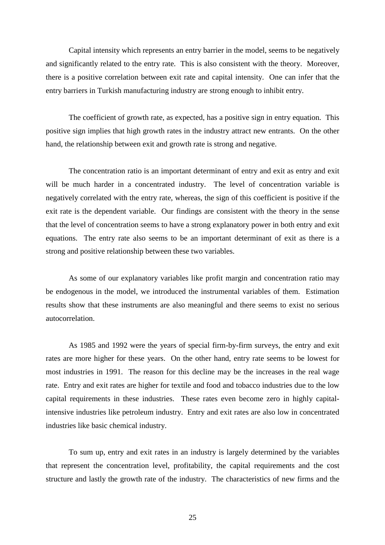Capital intensity which represents an entry barrier in the model, seems to be negatively and significantly related to the entry rate. This is also consistent with the theory. Moreover, there is a positive correlation between exit rate and capital intensity. One can infer that the entry barriers in Turkish manufacturing industry are strong enough to inhibit entry.

The coefficient of growth rate, as expected, has a positive sign in entry equation. This positive sign implies that high growth rates in the industry attract new entrants. On the other hand, the relationship between exit and growth rate is strong and negative.

The concentration ratio is an important determinant of entry and exit as entry and exit will be much harder in a concentrated industry. The level of concentration variable is negatively correlated with the entry rate, whereas, the sign of this coefficient is positive if the exit rate is the dependent variable. Our findings are consistent with the theory in the sense that the level of concentration seems to have a strong explanatory power in both entry and exit equations. The entry rate also seems to be an important determinant of exit as there is a strong and positive relationship between these two variables.

As some of our explanatory variables like profit margin and concentration ratio may be endogenous in the model, we introduced the instrumental variables of them. Estimation results show that these instruments are also meaningful and there seems to exist no serious autocorrelation.

As 1985 and 1992 were the years of special firm-by-firm surveys, the entry and exit rates are more higher for these years. On the other hand, entry rate seems to be lowest for most industries in 1991. The reason for this decline may be the increases in the real wage rate. Entry and exit rates are higher for textile and food and tobacco industries due to the low capital requirements in these industries. These rates even become zero in highly capitalintensive industries like petroleum industry. Entry and exit rates are also low in concentrated industries like basic chemical industry.

To sum up, entry and exit rates in an industry is largely determined by the variables that represent the concentration level, profitability, the capital requirements and the cost structure and lastly the growth rate of the industry. The characteristics of new firms and the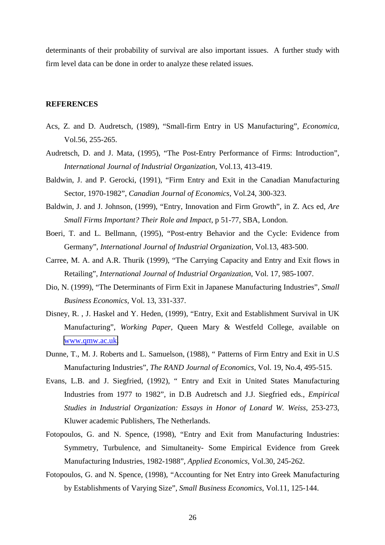determinants of their probability of survival are also important issues. A further study with firm level data can be done in order to analyze these related issues.

### **REFERENCES**

- Acs, Z. and D. Audretsch, (1989), "Small-firm Entry in US Manufacturing", *Economica*, Vol.56, 255-265.
- Audretsch, D. and J. Mata, (1995), "The Post-Entry Performance of Firms: Introduction", *International Journal of Industrial Organization*, Vol.13, 413-419.
- Baldwin, J. and P. Gerocki, (1991), "Firm Entry and Exit in the Canadian Manufacturing Sector, 1970-1982", *Canadian Journal of Economics*, Vol.24, 300-323.
- Baldwin, J. and J. Johnson, (1999), "Entry, Innovation and Firm Growth", in Z. Acs ed, *Are Small Firms Important? Their Role and Impact*, p 51-77, SBA, London.
- Boeri, T. and L. Bellmann, (1995), "Post-entry Behavior and the Cycle: Evidence from Germany", *International Journal of Industrial Organization*, Vol.13, 483-500.
- Carree, M. A. and A.R. Thurik (1999), "The Carrying Capacity and Entry and Exit flows in Retailing", *International Journal of Industrial Organization*, Vol. 17, 985-1007.
- Dio, N. (1999), "The Determinants of Firm Exit in Japanese Manufacturing Industries", *Small Business Economics*, Vol. 13, 331-337.
- Disney, R. , J. Haskel and Y. Heden, (1999), "Entry, Exit and Establishment Survival in UK Manufacturing", *Working Paper*, Queen Mary & Westfeld College, available on [www.qmw.ac.uk.](http://www.qmw.ac.uk/)
- Dunne, T., M. J. Roberts and L. Samuelson, (1988), " Patterns of Firm Entry and Exit in U.S Manufacturing Industries", *The RAND Journal of Economics*, Vol. 19, No.4, 495-515.
- Evans, L.B. and J. Siegfried, (1992), " Entry and Exit in United States Manufacturing Industries from 1977 to 1982", in D.B Audretsch and J.J. Siegfried eds., *Empirical Studies in Industrial Organization: Essays in Honor of Lonard W. Weiss*, 253-273, Kluwer academic Publishers, The Netherlands.
- Fotopoulos, G. and N. Spence, (1998), "Entry and Exit from Manufacturing Industries: Symmetry, Turbulence, and Simultaneity- Some Empirical Evidence from Greek Manufacturing Industries, 1982-1988", *Applied Economics*, Vol.30, 245-262.
- Fotopoulos, G. and N. Spence, (1998), "Accounting for Net Entry into Greek Manufacturing by Establishments of Varying Size", *Small Business Economics*, Vol.11, 125-144.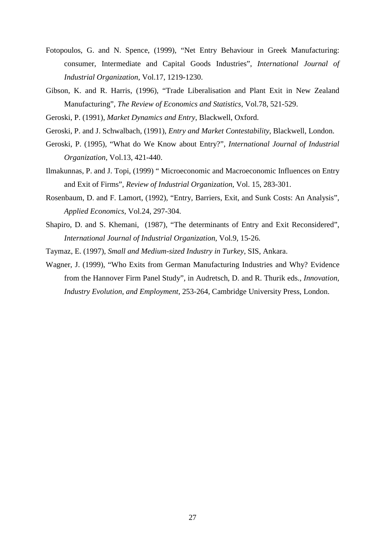- Fotopoulos, G. and N. Spence, (1999), "Net Entry Behaviour in Greek Manufacturing: consumer, Intermediate and Capital Goods Industries", *International Journal of Industrial Organization*, Vol.17, 1219-1230.
- Gibson, K. and R. Harris, (1996), "Trade Liberalisation and Plant Exit in New Zealand Manufacturing", *The Review of Economics and Statistics*, Vol.78, 521-529.
- Geroski, P. (1991), *Market Dynamics and Entry*, Blackwell, Oxford.
- Geroski, P. and J. Schwalbach, (1991), *Entry and Market Contestability*, Blackwell, London.
- Geroski, P. (1995), "What do We Know about Entry?", *International Journal of Industrial Organization*, Vol.13, 421-440.
- Ilmakunnas, P. and J. Topi, (1999) " Microeconomic and Macroeconomic Influences on Entry and Exit of Firms", *Review of Industrial Organization*, Vol. 15, 283-301.
- Rosenbaum, D. and F. Lamort, (1992), "Entry, Barriers, Exit, and Sunk Costs: An Analysis", *Applied Economics*, Vol.24, 297-304.
- Shapiro, D. and S. Khemani, (1987), "The determinants of Entry and Exit Reconsidered", *International Journal of Industrial Organization*, Vol.9, 15-26.
- Taymaz, E. (1997), *Small and Medium-sized Industry in Turkey*, SIS, Ankara.
- Wagner, J. (1999), "Who Exits from German Manufacturing Industries and Why? Evidence from the Hannover Firm Panel Study", in Audretsch, D. and R. Thurik eds., *Innovation, Industry Evolution, and Employment*, 253-264, Cambridge University Press, London.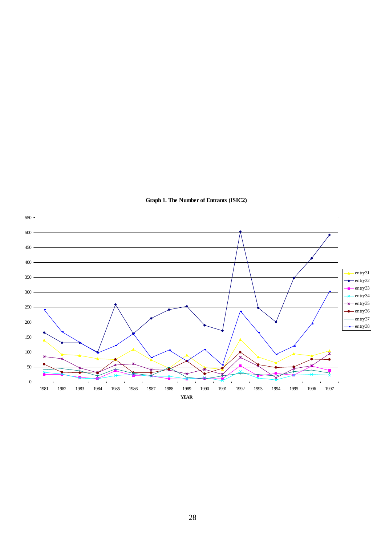

### **Graph 1. The Number of Entrants (ISIC2)**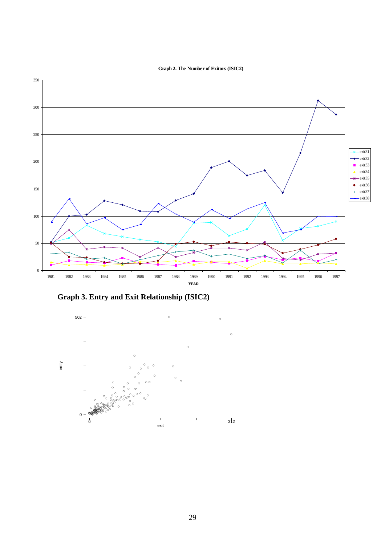



**Graph 3. Entry and Exit Relationship (ISIC2)**

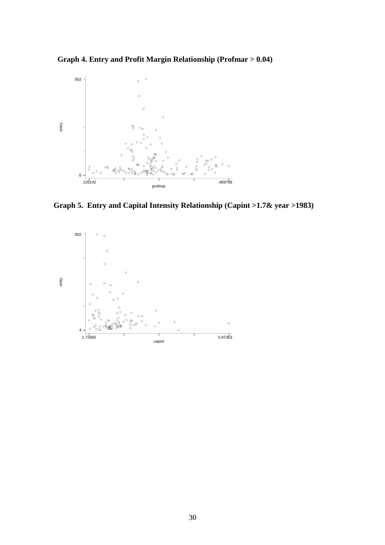**Graph 4. Entry and Profit Margin Relationship (Profmar > 0.04)**



 **Graph 5. Entry and Capital Intensity Relationship (Capint >1.7& year >1983)**

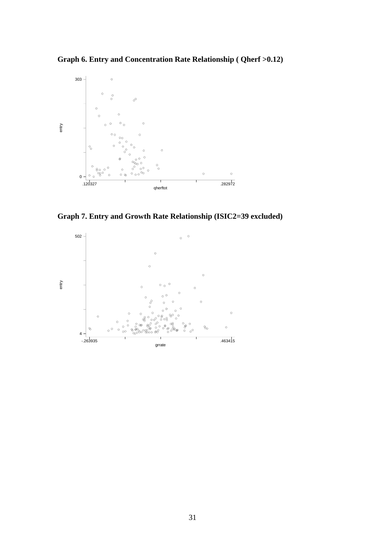**Graph 6. Entry and Concentration Rate Relationship ( Qherf >0.12)**



**Graph 7. Entry and Growth Rate Relationship (ISIC2=39 excluded)**

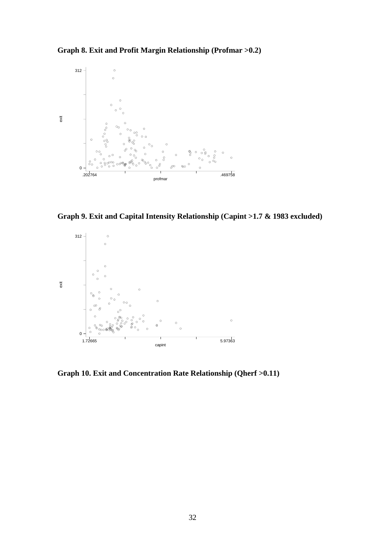**Graph 8. Exit and Profit Margin Relationship (Profmar >0.2)**



**Graph 9. Exit and Capital Intensity Relationship (Capint >1.7 & 1983 excluded)**



**Graph 10. Exit and Concentration Rate Relationship (Qherf >0.11)**